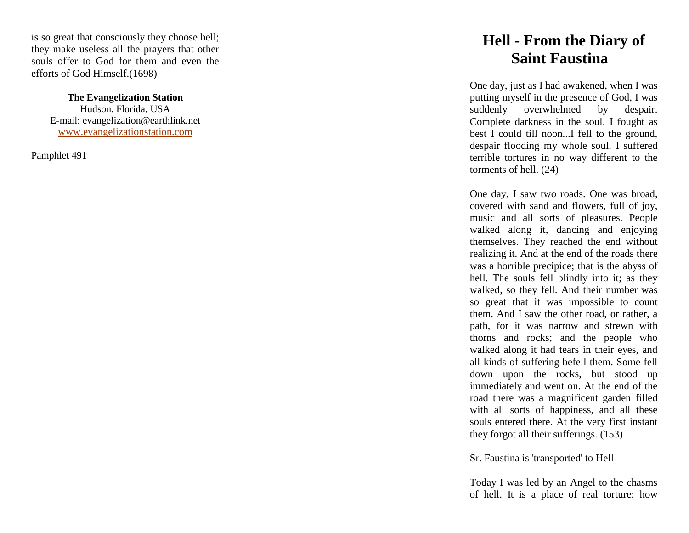is so great that consciously they choose hell; they make useless all the prayers that other souls offer to God for them and even the efforts of God Himself.(1698)

> **The Evangelization Station** Hudson, Florida, USA E -mail: evangelization@earthlink.net [www.evangelizationstation.com](http://www.pjpiisoe.org/)

Pamphlet 491

## **Hell - From the Diary of Saint Faustina**

One day, just as I had awakened, when I was putting myself in the presence of God, I was suddenly overwhelmed by despair. Complete darkness in the soul. I fought as best I could till noon...I fell to the ground, despair flooding my whole soul. I suffered terrible tortures in no way different to the torments of hell. (24)

One day, I saw two roads. One was broad, covered with sand and flowers, full of joy, music and all sorts of pleasures. People walked along it, dancing and enjoying themselves. They reached the end without realizing it. And at the end of the roads there was a horrible precipice; that is the abyss of hell. The souls fell blindly into it; as they walked, so they fell. And their number was so great that it was impossible to count them. And I saw the other road, or rather, a path, for it was narrow and strewn with thorns and rocks; and the people who walked along it had tears in their eyes, and all kinds of suffering befell them. Some fell down upon the rocks, but stood up immediately and went on. At the end of the road there was a magnificent garden filled with all sorts of happiness, and all these souls entered there. At the very first instant they forgot all their sufferings. (153)

Sr. Faustina is 'transported' to Hell

Today I was led by an Angel to the chasms of hell. It is a place of real torture; how